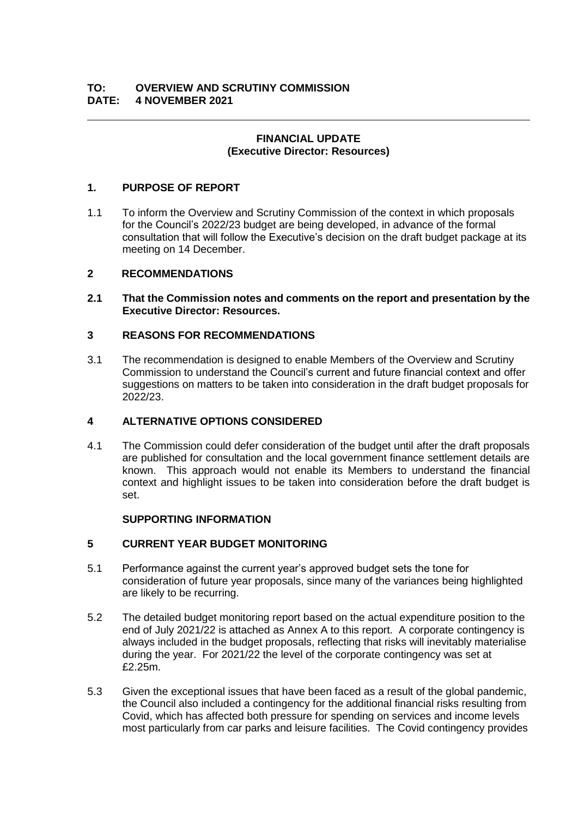## **FINANCIAL UPDATE (Executive Director: Resources)**

# **1. PURPOSE OF REPORT**

1.1 To inform the Overview and Scrutiny Commission of the context in which proposals for the Council's 2022/23 budget are being developed, in advance of the formal consultation that will follow the Executive's decision on the draft budget package at its meeting on 14 December.

## **2 RECOMMENDATIONS**

**2.1 That the Commission notes and comments on the report and presentation by the Executive Director: Resources.** 

# **3 REASONS FOR RECOMMENDATIONS**

3.1 The recommendation is designed to enable Members of the Overview and Scrutiny Commission to understand the Council's current and future financial context and offer suggestions on matters to be taken into consideration in the draft budget proposals for 2022/23.

## **4 ALTERNATIVE OPTIONS CONSIDERED**

4.1 The Commission could defer consideration of the budget until after the draft proposals are published for consultation and the local government finance settlement details are known. This approach would not enable its Members to understand the financial context and highlight issues to be taken into consideration before the draft budget is set.

## **SUPPORTING INFORMATION**

## **5 CURRENT YEAR BUDGET MONITORING**

- 5.1 Performance against the current year's approved budget sets the tone for consideration of future year proposals, since many of the variances being highlighted are likely to be recurring.
- 5.2 The detailed budget monitoring report based on the actual expenditure position to the end of July 2021/22 is attached as Annex A to this report. A corporate contingency is always included in the budget proposals, reflecting that risks will inevitably materialise during the year. For 2021/22 the level of the corporate contingency was set at £2.25m.
- 5.3 Given the exceptional issues that have been faced as a result of the global pandemic, the Council also included a contingency for the additional financial risks resulting from Covid, which has affected both pressure for spending on services and income levels most particularly from car parks and leisure facilities. The Covid contingency provides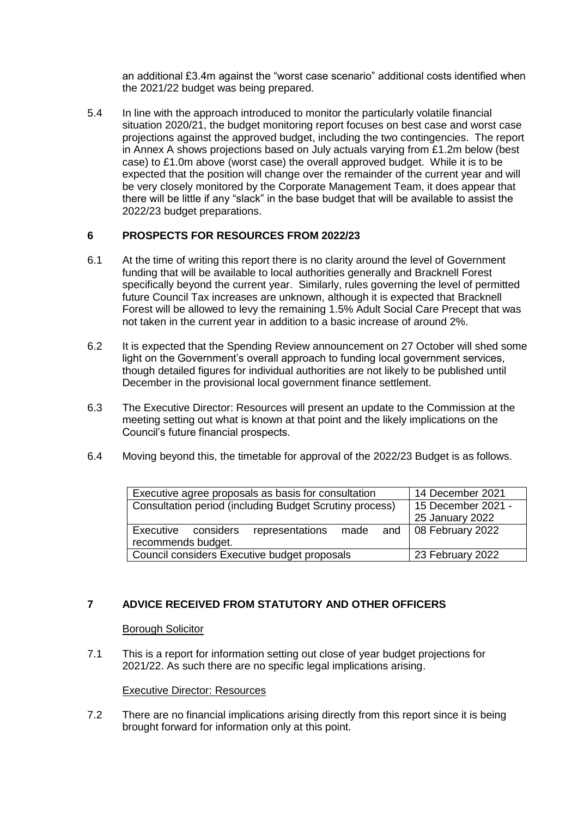an additional £3.4m against the "worst case scenario" additional costs identified when the 2021/22 budget was being prepared.

5.4 In line with the approach introduced to monitor the particularly volatile financial situation 2020/21, the budget monitoring report focuses on best case and worst case projections against the approved budget, including the two contingencies. The report in Annex A shows projections based on July actuals varying from £1.2m below (best case) to £1.0m above (worst case) the overall approved budget. While it is to be expected that the position will change over the remainder of the current year and will be very closely monitored by the Corporate Management Team, it does appear that there will be little if any "slack" in the base budget that will be available to assist the 2022/23 budget preparations.

## **6 PROSPECTS FOR RESOURCES FROM 2022/23**

- 6.1 At the time of writing this report there is no clarity around the level of Government funding that will be available to local authorities generally and Bracknell Forest specifically beyond the current year. Similarly, rules governing the level of permitted future Council Tax increases are unknown, although it is expected that Bracknell Forest will be allowed to levy the remaining 1.5% Adult Social Care Precept that was not taken in the current year in addition to a basic increase of around 2%.
- 6.2 It is expected that the Spending Review announcement on 27 October will shed some light on the Government's overall approach to funding local government services, though detailed figures for individual authorities are not likely to be published until December in the provisional local government finance settlement.
- 6.3 The Executive Director: Resources will present an update to the Commission at the meeting setting out what is known at that point and the likely implications on the Council's future financial prospects.
- 6.4 Moving beyond this, the timetable for approval of the 2022/23 Budget is as follows.

| Executive agree proposals as basis for consultation     |                 |  | 14 December 2021                   |
|---------------------------------------------------------|-----------------|--|------------------------------------|
| Consultation period (including Budget Scrutiny process) |                 |  | 15 December 2021 -                 |
|                                                         |                 |  | 25 January 2022                    |
| Executive<br>considers                                  | representations |  | made $\alpha$ and 08 February 2022 |
| recommends budget.                                      |                 |  |                                    |
| Council considers Executive budget proposals            |                 |  | 23 February 2022                   |

# **7 ADVICE RECEIVED FROM STATUTORY AND OTHER OFFICERS**

### Borough Solicitor

7.1 This is a report for information setting out close of year budget projections for 2021/22. As such there are no specific legal implications arising.

### Executive Director: Resources

7.2 There are no financial implications arising directly from this report since it is being brought forward for information only at this point.